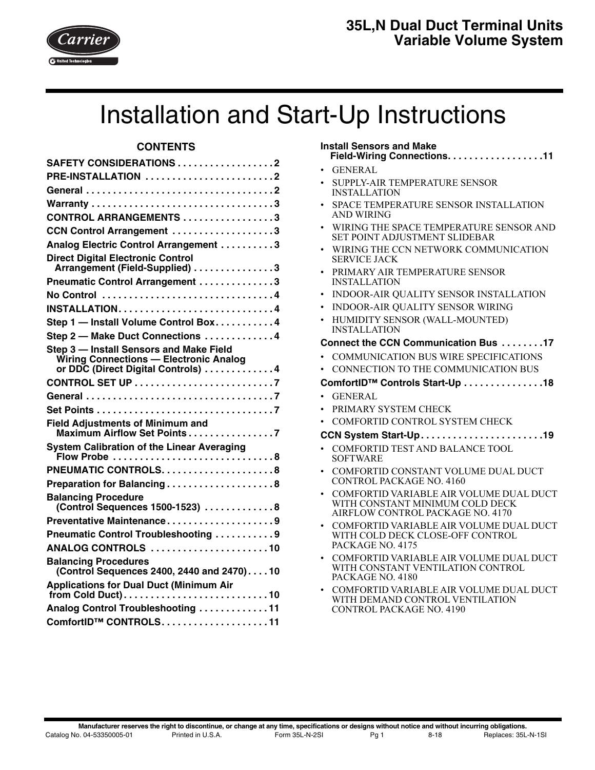

# Installation and Start-Up Instructions

# **CONTENTS**

| <b>SAFETY CONSIDERATIONS 2</b>                                                                                          |
|-------------------------------------------------------------------------------------------------------------------------|
| PRE-INSTALLATION 2                                                                                                      |
|                                                                                                                         |
| Warranty 3                                                                                                              |
| CONTROL ARRANGEMENTS 3                                                                                                  |
| CCN Control Arrangement 3                                                                                               |
| Analog Electric Control Arrangement 3                                                                                   |
| <b>Direct Digital Electronic Control</b><br>Arrangement (Field-Supplied) 3                                              |
| Pneumatic Control Arrangement 3                                                                                         |
| No Control 4                                                                                                            |
| <b>INSTALLATION4</b>                                                                                                    |
| Step 1 - Install Volume Control Box4                                                                                    |
| Step 2 - Make Duct Connections 4                                                                                        |
| Step 3 - Install Sensors and Make Field<br>Wiring Connections - Electronic Analog<br>or DDC (Direct Digital Controls) 4 |
|                                                                                                                         |
|                                                                                                                         |
|                                                                                                                         |
| <b>Field Adjustments of Minimum and</b><br>Maximum Airflow Set Points7                                                  |
| <b>System Calibration of the Linear Averaging</b>                                                                       |
|                                                                                                                         |
| Preparation for Balancing8                                                                                              |
| <b>Balancing Procedure</b><br>(Control Sequences 1500-1523) 8                                                           |
| Preventative Maintenance9                                                                                               |
| Pneumatic Control Troubleshooting 9                                                                                     |
| ANALOG CONTROLS 10                                                                                                      |
| <b>Balancing Procedures</b><br>(Control Sequences 2400, 2440 and 2470)10                                                |
| <b>Applications for Dual Duct (Minimum Air</b>                                                                          |
| Analog Control Troubleshooting 11                                                                                       |
| ComfortID™ CONTROLS11                                                                                                   |

# **Install Sensors and Make**

- **Field-Wiring Connections. . . . . . . . . . . . . . . . . .[11](#page-10-2)**
- GENERAL
- SUPPLY-AIR TEMPERATURE SENSOR INSTALLATION
- SPACE TEMPERATURE SENSOR INSTALLATION AND WIRING
- WIRING THE SPACE TEMPERATURE SENSOR AND SET POINT ADJUSTMENT SLIDEBAR
- WIRING THE CCN NETWORK COMMUNICATION SERVICE JACK
- PRIMARY AIR TEMPERATURE SENSOR INSTALLATION
- INDOOR-AIR QUALITY SENSOR INSTALLATION
- INDOOR-AIR QUALITY SENSOR WIRING
- HUMIDITY SENSOR (WALL-MOUNTED) INSTALLATION

## **Connect the CCN Communication Bus . . . . . . . .[17](#page-16-0)**

- COMMUNICATION BUS WIRE SPECIFICATIONS
- CONNECTION TO THE COMMUNICATION BUS

## **ComfortID™ Controls Start-Up . . . . . . . . . . . . . . .[18](#page-17-0)**

- GENERAL
- PRIMARY SYSTEM CHECK
- COMFORTID CONTROL SYSTEM CHECK

## **CCN System Start-Up. . . . . . . . . . . . . . . . . . . . . . .[19](#page-18-0)**

- COMFORTID TEST AND BALANCE TOOL SOFTWARE
- COMFORTID CONSTANT VOLUME DUAL DUCT CONTROL PACKAGE NO. 4160
- COMFORTID VARIABLE AIR VOLUME DUAL DUCT WITH CONSTANT MINIMUM COLD DECK AIRFLOW CONTROL PACKAGE NO. 4170
- COMFORTID VARIABLE AIR VOLUME DUAL DUCT WITH COLD DECK CLOSE-OFF CONTROL PACKAGE NO. 4175
- COMFORTID VARIABLE AIR VOLUME DUAL DUCT WITH CONSTANT VENTILATION CONTROL PACKAGE NO. 4180
- COMFORTID VARIABLE AIR VOLUME DUAL DUCT WITH DEMAND CONTROL VENTILATION CONTROL PACKAGE NO. 4190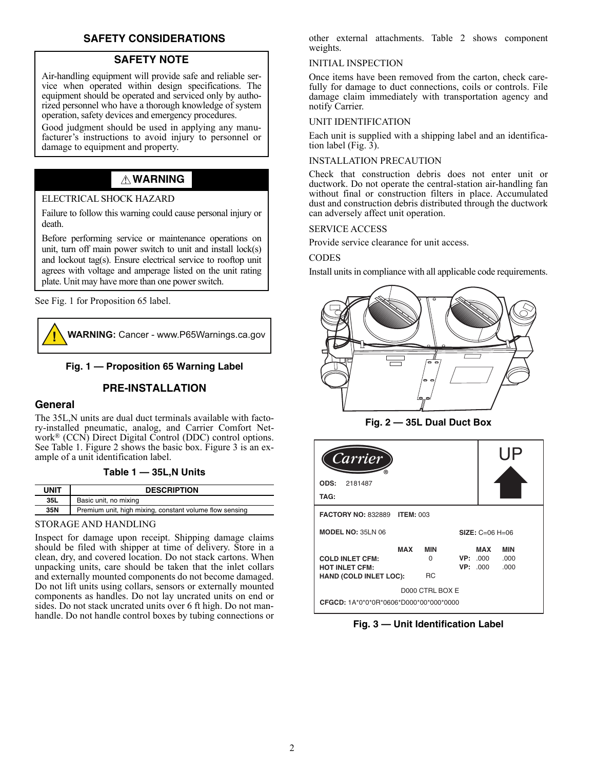# **SAFETY CONSIDERATIONS**

## **SAFETY NOTE**

<span id="page-1-0"></span>Air-handling equipment will provide safe and reliable service when operated within design specifications. The equipment should be operated and serviced only by authorized personnel who have a thorough knowledge of system operation, safety devices and emergency procedures.

Good judgment should be used in applying any manufacturer's instructions to avoid injury to personnel or damage to equipment and property.

# **WARNING**

## ELECTRICAL SHOCK HAZARD

Failure to follow this warning could cause personal injury or death.

Before performing service or maintenance operations on unit, turn off main power switch to unit and install lock(s) and lockout tag(s). Ensure electrical service to rooftop unit agrees with voltage and amperage listed on the unit rating plate. Unit may have more than one power switch.

See Fig. 1 for Proposition 65 label.



## **Fig. 1 — Proposition 65 Warning Label**

## **PRE-INSTALLATION**

#### <span id="page-1-2"></span><span id="page-1-1"></span>**General**

The 35L,N units are dual duct terminals available with factory-installed pneumatic, analog, and Carrier Comfort Network® (CCN) Direct Digital Control (DDC) control options. See Table [1.](#page-1-3) Figure [2](#page-1-4) shows the basic box. Figure [3](#page-1-5) is an example of a unit identification label.

#### **Table 1 — 35L,N Units**

<span id="page-1-3"></span>

| <b>UNIT</b> | <b>DESCRIPTION</b>                                      |
|-------------|---------------------------------------------------------|
| 35L         | Basic unit, no mixing                                   |
| 35N         | Premium unit, high mixing, constant volume flow sensing |

#### STORAGE AND HANDLING

Inspect for damage upon receipt. Shipping damage claims should be filed with shipper at time of delivery. Store in a clean, dry, and covered location. Do not stack cartons. When unpacking units, care should be taken that the inlet collars and externally mounted components do not become damaged. Do not lift units using collars, sensors or externally mounted components as handles. Do not lay uncrated units on end or sides. Do not stack uncrated units over 6 ft high. Do not manhandle. Do not handle control boxes by tubing connections or

other external attachments. Table [2](#page-2-6) shows component weights.

#### INITIAL INSPECTION

Once items have been removed from the carton, check carefully for damage to duct connections, coils or controls. File damage claim immediately with transportation agency and notify Carrier.

#### UNIT IDENTIFICATION

Each unit is supplied with a shipping label and an identification label (Fig. [3\)](#page-1-5).

#### INSTALLATION PRECAUTION

Check that construction debris does not enter unit or ductwork. Do not operate the central-station air-handling fan without final or construction filters in place. Accumulated dust and construction debris distributed through the ductwork can adversely affect unit operation.

#### SERVICE ACCESS

Provide service clearance for unit access.

#### **CODES**

Install units in compliance with all applicable code requirements.





<span id="page-1-4"></span>

| Carrier                                                                                 |                                     |                                   |     | l IP                       |
|-----------------------------------------------------------------------------------------|-------------------------------------|-----------------------------------|-----|----------------------------|
| 2181487<br>ODS:                                                                         |                                     |                                   |     |                            |
| TAG:                                                                                    |                                     |                                   |     |                            |
| <b>FACTORY NO: 832889</b><br><b>ITEM: 003</b>                                           |                                     |                                   |     |                            |
| <b>MODEL NO: 35LN 06</b><br>$SIZE: C=06 H=06$                                           |                                     |                                   |     |                            |
| <b>MAX</b><br><b>COLD INLET CFM:</b><br><b>HOT INLET CFM:</b><br>HAND (COLD INLET LOC): | <b>MIN</b><br>$\Omega$<br><b>RC</b> | <b>VP: 000</b><br><b>VP: .000</b> | MAX | <b>MIN</b><br>.000<br>.000 |
|                                                                                         | D000 CTRL BOX E                     |                                   |     |                            |
| CFGCD: 1A*0*0*0R*0606*D000*00*000*0000                                                  |                                     |                                   |     |                            |

<span id="page-1-5"></span>**Fig. 3 — Unit Identification Label**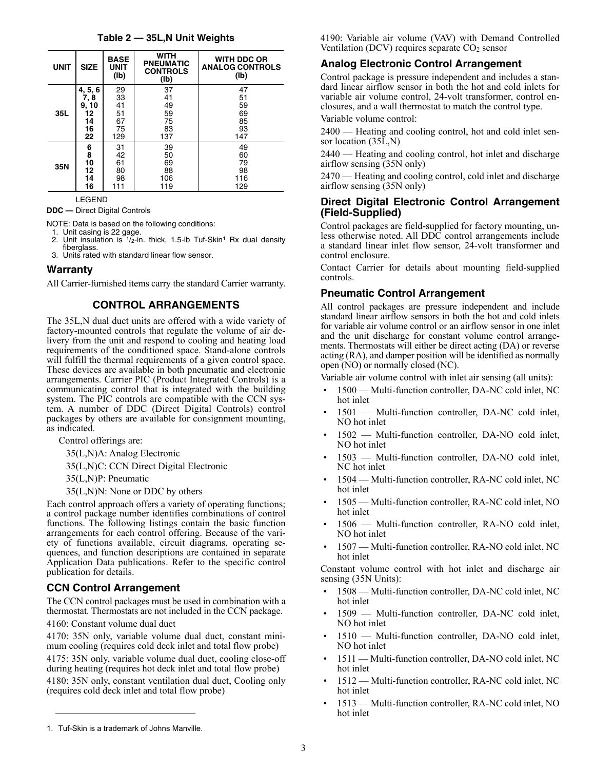| Table 2 — 35L,N Unit Weights |  |  |  |
|------------------------------|--|--|--|
|------------------------------|--|--|--|

<span id="page-2-6"></span>

| <b>UNIT</b> | <b>SIZE</b> | <b>BASE</b><br><b>UNIT</b><br>(1b) | <b>WITH</b><br><b>PNEUMATIC</b><br><b>CONTROLS</b><br>(1b) | <b>WITH DDC OR</b><br><b>ANALOG CONTROLS</b><br>(lb) |
|-------------|-------------|------------------------------------|------------------------------------------------------------|------------------------------------------------------|
|             | 4, 5, 6     | 29                                 | 37                                                         | 47                                                   |
|             | 7,8         | 33                                 | 41                                                         | 51                                                   |
|             | 9, 10       | 41                                 | 49                                                         | 59                                                   |
| 35L         | 12          | 51                                 | 59                                                         | 69                                                   |
|             | 14          | 67                                 | 75                                                         | 85                                                   |
|             | 16          | 75                                 | 83                                                         | 93                                                   |
|             | 22          | 129                                | 137                                                        | 147                                                  |
|             | 6           | 31                                 | 39                                                         | 49                                                   |
|             | 8           | 42                                 | 50                                                         | 60                                                   |
|             | 10          | 61                                 | 69                                                         | 79                                                   |
| 35N         | 12          | 80                                 | 88                                                         | 98                                                   |
|             | 14          | 98                                 | 106                                                        | 116                                                  |
|             | 16          | 111                                | 119                                                        | 129                                                  |

LEGEND

**DDC —** Direct Digital Controls

NOTE: Data is based on the following conditions:

- 1. Unit casing is 22 gage. 2. Unit insulation is 1/2-in. thick, 1.5-lb Tuf-Skin1 Rx dual density fiberglass.
- 3. Units rated with standard linear flow sensor.

## <span id="page-2-0"></span>**Warranty**

<span id="page-2-1"></span>All Carrier-furnished items carry the standard Carrier warranty.

# **CONTROL ARRANGEMENTS**

The 35L,N dual duct units are offered with a wide variety of factory-mounted controls that regulate the volume of air delivery from the unit and respond to cooling and heating load requirements of the conditioned space. Stand-alone controls will fulfill the thermal requirements of a given control space. These devices are available in both pneumatic and electronic arrangements. Carrier PIC (Product Integrated Controls) is a communicating control that is integrated with the building system. The PIC controls are compatible with the CCN system. A number of DDC (Direct Digital Controls) control packages by others are available for consignment mounting, as indicated.

Control offerings are:

35(L,N)A: Analog Electronic

35(L,N)C: CCN Direct Digital Electronic

35(L,N)P: Pneumatic

35(L,N)N: None or DDC by others

Each control approach offers a variety of operating functions; a control package number identifies combinations of control functions. The following listings contain the basic function arrangements for each control offering. Because of the variety of functions available, circuit diagrams, operating sequences, and function descriptions are contained in separate Application Data publications. Refer to the specific control publication for details.

# <span id="page-2-2"></span>**CCN Control Arrangement**

The CCN control packages must be used in combination with a thermostat. Thermostats are not included in the CCN package.

4160: Constant volume dual duct

4170: 35N only, variable volume dual duct, constant minimum cooling (requires cold deck inlet and total flow probe)

4175: 35N only, variable volume dual duct, cooling close-off during heating (requires hot deck inlet and total flow probe) 4180: 35N only, constant ventilation dual duct, Cooling only (requires cold deck inlet and total flow probe)

4190: Variable air volume (VAV) with Demand Controlled Ventilation (DCV) requires separate  $CO<sub>2</sub>$  sensor

## <span id="page-2-3"></span>**Analog Electronic Control Arrangement**

Control package is pressure independent and includes a standard linear airflow sensor in both the hot and cold inlets for variable air volume control, 24-volt transformer, control enclosures, and a wall thermostat to match the control type.

Variable volume control:

2400 — Heating and cooling control, hot and cold inlet sensor location (35L,N)

2440 — Heating and cooling control, hot inlet and discharge airflow sensing (35N only)

2470 — Heating and cooling control, cold inlet and discharge airflow sensing (35N only)

## <span id="page-2-4"></span>**Direct Digital Electronic Control Arrangement (Field-Supplied)**

Control packages are field-supplied for factory mounting, unless otherwise noted. All DDC control arrangements include a standard linear inlet flow sensor, 24-volt transformer and control enclosure.

Contact Carrier for details about mounting field-supplied controls.

## <span id="page-2-5"></span>**Pneumatic Control Arrangement**

All control packages are pressure independent and include standard linear airflow sensors in both the hot and cold inlets for variable air volume control or an airflow sensor in one inlet and the unit discharge for constant volume control arrangements. Thermostats will either be direct acting (DA) or reverse acting (RA), and damper position will be identified as normally open (NO) or normally closed (NC).

Variable air volume control with inlet air sensing (all units):

- 1500 Multi-function controller, DA-NC cold inlet, NC hot inlet
- 1501 Multi-function controller, DA-NC cold inlet, NO hot inlet
- 1502 Multi-function controller, DA-NO cold inlet, NO hot inlet
- 1503 Multi-function controller, DA-NO cold inlet, NC hot inlet
- 1504 Multi-function controller, RA-NC cold inlet, NC hot inlet
- 1505 Multi-function controller, RA-NC cold inlet, NO hot inlet
- 1506 Multi-function controller, RA-NO cold inlet, NO hot inlet
- 1507 Multi-function controller, RA-NO cold inlet, NC hot inlet

Constant volume control with hot inlet and discharge air sensing (35N Units):

- 1508 Multi-function controller, DA-NC cold inlet, NC hot inlet
- 1509 Multi-function controller, DA-NC cold inlet, NO hot inlet
- 1510 Multi-function controller, DA-NO cold inlet, NO hot inlet
- 1511 Multi-function controller, DA-NO cold inlet, NC hot inlet
- 1512 Multi-function controller, RA-NC cold inlet, NC hot inlet
- 1513 Multi-function controller, RA-NC cold inlet, NO hot inlet

<sup>1.</sup> Tuf-Skin is a trademark of Johns Manville.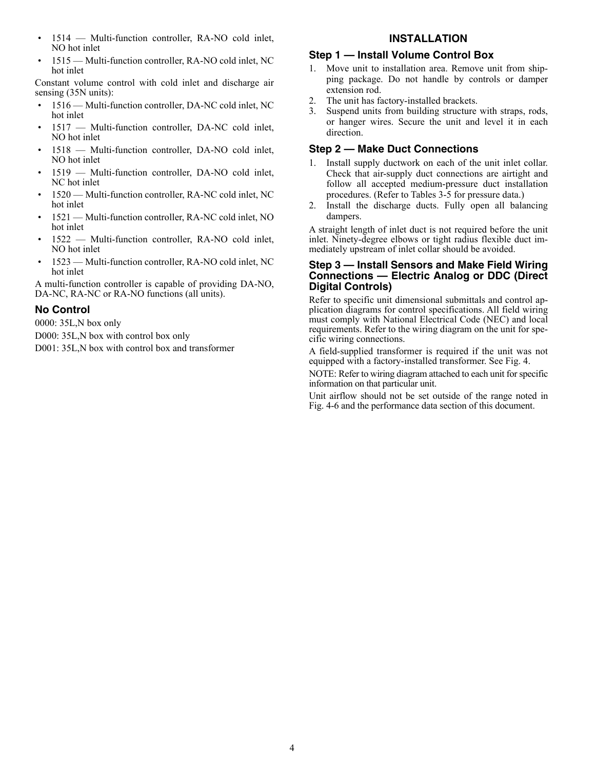- 1514 Multi-function controller, RA-NO cold inlet, NO hot inlet
- 1515 Multi-function controller, RA-NO cold inlet, NC hot inlet

Constant volume control with cold inlet and discharge air sensing (35N units):

- 1516 Multi-function controller, DA-NC cold inlet, NC hot inlet
- 1517 Multi-function controller, DA-NC cold inlet, NO hot inlet
- 1518 Multi-function controller, DA-NO cold inlet, NO hot inlet
- 1519 Multi-function controller, DA-NO cold inlet, NC hot inlet
- 1520 Multi-function controller, RA-NC cold inlet, NC hot inlet
- 1521 Multi-function controller, RA-NC cold inlet, NO hot inlet
- 1522 Multi-function controller, RA-NO cold inlet, NO hot inlet
- 1523 Multi-function controller, RA-NO cold inlet, NC hot inlet

A multi-function controller is capable of providing DA-NO, DA-NC, RA-NC or RA-NO functions (all units).

## <span id="page-3-0"></span>**No Control**

0000: 35L,N box only

- D000: 35L,N box with control box only
- D001: 35L,N box with control box and transformer

## **INSTALLATION**

#### <span id="page-3-2"></span><span id="page-3-1"></span>**Step 1 — Install Volume Control Box**

- 1. Move unit to installation area. Remove unit from shipping package. Do not handle by controls or damper extension rod.
- 2. The unit has factory-installed brackets.
- 3. Suspend units from building structure with straps, rods, or hanger wires. Secure the unit and level it in each direction.

## <span id="page-3-3"></span>**Step 2 — Make Duct Connections**

- 1. Install supply ductwork on each of the unit inlet collar. Check that air-supply duct connections are airtight and follow all accepted medium-pressure duct installation procedures. (Refer to Tables [3](#page-4-0)-[5](#page-5-0) for pressure data.)
- 2. Install the discharge ducts. Fully open all balancing dampers.

A straight length of inlet duct is not required before the unit inlet. Ninety-degree elbows or tight radius flexible duct immediately upstream of inlet collar should be avoided.

## <span id="page-3-4"></span>**Step 3 — Install Sensors and Make Field Wiring Connections — Electric Analog or DDC (Direct Digital Controls)**

Refer to specific unit dimensional submittals and control application diagrams for control specifications. All field wiring must comply with National Electrical Code (NEC) and local requirements. Refer to the wiring diagram on the unit for specific wiring connections.

A field-supplied transformer is required if the unit was not equipped with a factory-installed transformer. See Fig. [4.](#page-6-4)

NOTE: Refer to wiring diagram attached to each unit for specific information on that particular unit.

Unit airflow should not be set outside of the range noted in Fig. [4-](#page-6-4)[6](#page-6-5) and the performance data section of this document.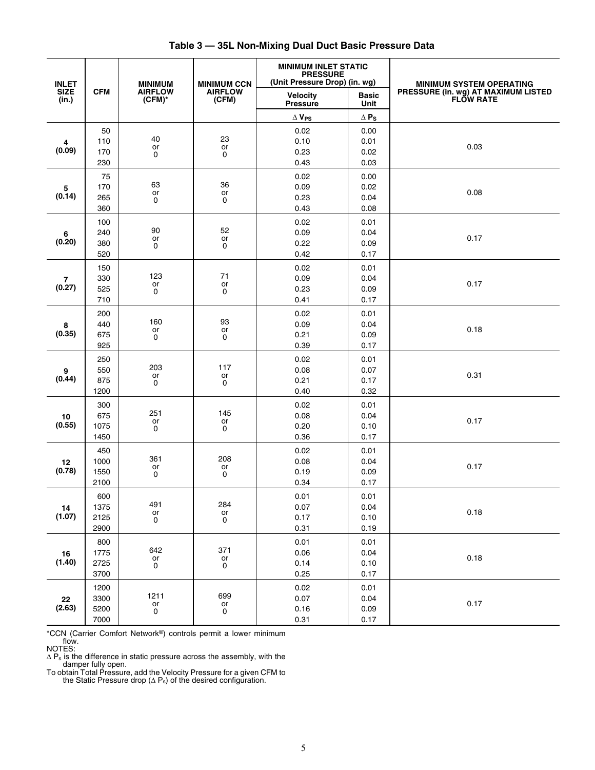<span id="page-4-0"></span>

|                                      |                              |                                               |                                                  | <b>MINIMUM INLET STATIC</b><br><b>PRESSURE</b><br>(Unit Pressure Drop) (in. wg) |                                    |                                                                                            |
|--------------------------------------|------------------------------|-----------------------------------------------|--------------------------------------------------|---------------------------------------------------------------------------------|------------------------------------|--------------------------------------------------------------------------------------------|
| <b>INLET</b><br><b>SIZE</b><br>(in.) | <b>CFM</b>                   | <b>MINIMUM</b><br><b>AIRFLOW</b><br>$(CFM)^*$ | <b>MINIMUM CCN</b><br><b>AIRFLOW</b><br>(CFM)    | <b>Velocity</b><br><b>Pressure</b>                                              | <b>Basic</b><br>Unit               | <b>MINIMUM SYSTEM OPERATING</b><br>PRESSURE (in. wg) AT MAXIMUM LISTED<br><b>FLOW RATE</b> |
|                                      |                              |                                               |                                                  | $\Delta$ Vps                                                                    | $\Delta$ $\mathsf{P}_{\mathsf{S}}$ |                                                                                            |
| 4<br>(0.09)                          | 50<br>110<br>170<br>230      | 40<br>or<br>0                                 | 23<br>or<br>0                                    | 0.02<br>0.10<br>0.23<br>0.43                                                    | 0.00<br>0.01<br>0.02<br>0.03       | 0.03                                                                                       |
| 5<br>(0.14)                          | 75<br>170<br>265<br>360      | 63<br>or<br>0                                 | 36<br>or<br>0                                    | 0.02<br>0.09<br>0.23<br>0.43                                                    | 0.00<br>0.02<br>0.04<br>0.08       | 0.08                                                                                       |
| 6<br>(0.20)                          | 100<br>240<br>380<br>520     | 90<br>or<br>0                                 | 52<br>or<br>0                                    | 0.02<br>0.09<br>0.22<br>0.42                                                    | 0.01<br>0.04<br>0.09<br>0.17       | 0.17                                                                                       |
| $\overline{7}$<br>(0.27)             | 150<br>330<br>525<br>710     | 123<br>or<br>0                                | 71<br>or<br>0                                    | 0.02<br>0.09<br>0.23<br>0.41                                                    | 0.01<br>0.04<br>0.09<br>0.17       | 0.17                                                                                       |
| 8<br>(0.35)                          | 200<br>440<br>675<br>925     | 160<br>or<br>0                                | 93<br>or<br>0                                    | 0.02<br>0.09<br>0.21<br>0.39                                                    | 0.01<br>0.04<br>0.09<br>0.17       | 0.18                                                                                       |
| 9<br>(0.44)                          | 250<br>550<br>875<br>1200    | 203<br>or<br>0                                | 117<br>or<br>0                                   | 0.02<br>0.08<br>0.21<br>0.40                                                    | 0.01<br>0.07<br>0.17<br>0.32       | 0.31                                                                                       |
| 10<br>(0.55)                         | 300<br>675<br>1075<br>1450   | 251<br>or<br>0                                | 145<br>or<br>0                                   | 0.02<br>0.08<br>0.20<br>0.36                                                    | 0.01<br>0.04<br>0.10<br>0.17       | 0.17                                                                                       |
| 12<br>(0.78)                         | 450<br>1000<br>1550<br>2100  | 361<br>or<br>0                                | 208<br>or<br>$\mathbf 0$                         | 0.02<br>0.08<br>0.19<br>0.34                                                    | 0.01<br>0.04<br>0.09<br>0.17       | 0.17                                                                                       |
| 14<br>(1.07)                         | 600<br>1375<br>2125<br>2900  | 491<br>$\mathop{\sf or}\nolimits$<br>0        | 284<br>$\mathop{\sf or}\nolimits$<br>$\mathbf 0$ | 0.01<br>0.07<br>0.17<br>0.31                                                    | 0.01<br>0.04<br>0.10<br>0.19       | 0.18                                                                                       |
| $16$<br>(1.40)                       | 800<br>1775<br>2725<br>3700  | 642<br>or<br>0                                | 371<br>or<br>0                                   | 0.01<br>0.06<br>0.14<br>0.25                                                    | 0.01<br>0.04<br>0.10<br>0.17       | 0.18                                                                                       |
| 22<br>(2.63)                         | 1200<br>3300<br>5200<br>7000 | 1211<br>$_{\rm 0}^{\rm or}$                   | 699<br>$_{\rm 0}^{\rm or}$                       | 0.02<br>$0.07\,$<br>0.16<br>0.31                                                | 0.01<br>0.04<br>0.09<br>0.17       | 0.17                                                                                       |

**Table 3 — 35L Non-Mixing Dual Duct Basic Pressure Data**

\*CCN (Carrier Comfort Network®) controls permit a lower minimum

flow.<br>
NOTES:<br>  $\Delta P_s$  is the difference in static pressure across the assembly, with the<br>
damper fully open.<br>
To obtain Total Pressure, add the Velocity Pressure for a given CFM to<br>
the Static Pressure drop ( $\Delta P_s$ ) of th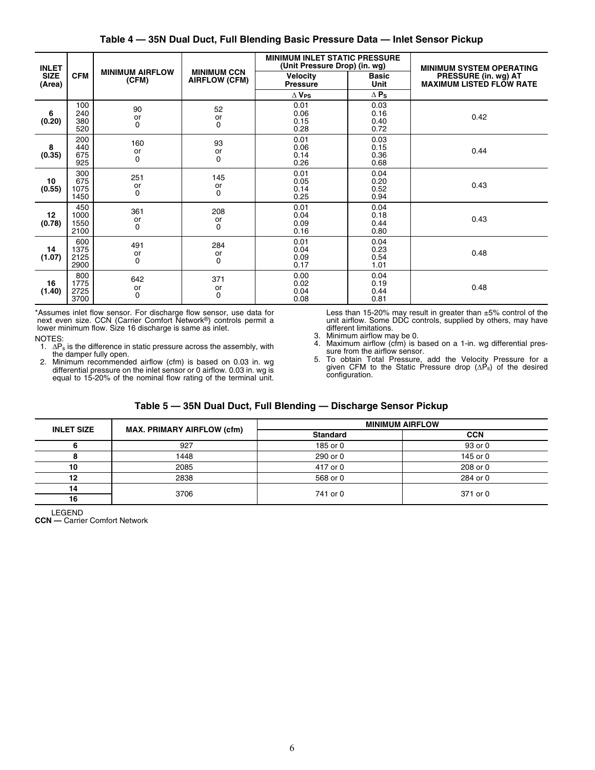| Table 4 — 35N Dual Duct, Full Blending Basic Pressure Data — Inlet Sensor Pickup |  |  |  |
|----------------------------------------------------------------------------------|--|--|--|
|----------------------------------------------------------------------------------|--|--|--|

| <b>INLET</b>          |                             |                                 |                                            | <b>MINIMUM INLET STATIC PRESSURE</b><br>(Unit Pressure Drop) (in. wg) |                              | <b>MINIMUM SYSTEM OPERATING</b>                         |
|-----------------------|-----------------------------|---------------------------------|--------------------------------------------|-----------------------------------------------------------------------|------------------------------|---------------------------------------------------------|
| <b>SIZE</b><br>(Area) | <b>CFM</b>                  | <b>MINIMUM AIRFLOW</b><br>(CFM) | <b>MINIMUM CCN</b><br><b>AIRFLOW (CFM)</b> | Velocity<br><b>Pressure</b>                                           | <b>Basic</b><br>Unit         | PRESSURE (in. wg) AT<br><b>MAXIMUM LISTED FLOW RATE</b> |
|                       |                             |                                 |                                            | $\Delta$ V <sub>PS</sub>                                              | $\Delta$ Ps                  |                                                         |
| 6<br>(0.20)           | 100<br>240<br>380<br>520    | 90<br>or<br>0                   | 52<br>or<br>0                              | 0.01<br>0.06<br>0.15<br>0.28                                          | 0.03<br>0.16<br>0.40<br>0.72 | 0.42                                                    |
| 8<br>(0.35)           | 200<br>440<br>675<br>925    | 160<br>or<br>0                  | 93<br>or<br>0                              | 0.01<br>0.06<br>0.14<br>0.26                                          | 0.03<br>0.15<br>0.36<br>0.68 | 0.44                                                    |
| 10<br>(0.55)          | 300<br>675<br>1075<br>1450  | 251<br>or<br>0                  | 145<br>or<br>0                             | 0.01<br>0.05<br>0.14<br>0.25                                          | 0.04<br>0.20<br>0.52<br>0.94 | 0.43                                                    |
| 12<br>(0.78)          | 450<br>1000<br>1550<br>2100 | 361<br>or<br>0                  | 208<br>or<br>$\Omega$                      | 0.01<br>0.04<br>0.09<br>0.16                                          | 0.04<br>0.18<br>0.44<br>0.80 | 0.43                                                    |
| 14<br>(1.07)          | 600<br>1375<br>2125<br>2900 | 491<br>or<br>$\Omega$           | 284<br>or<br>$\Omega$                      | 0.01<br>0.04<br>0.09<br>0.17                                          | 0.04<br>0.23<br>0.54<br>1.01 | 0.48                                                    |
| 16<br>(1.40)          | 800<br>1775<br>2725<br>3700 | 642<br>or<br>0                  | 371<br>or<br>$\mathbf 0$                   | 0.00<br>0.02<br>0.04<br>0.08                                          | 0.04<br>0.19<br>0.44<br>0.81 | 0.48                                                    |

\*Assumes inlet flow sensor. For discharge flow sensor, use data for next even size. CCN (Carrier Comfort Network®) controls permit a lower minimum flow. Size 16 discharge is same as inlet.

NOTES:

- $1. \Delta P_s$  is the difference in static pressure across the assembly, with the damper fully open.
- 2. Minimum recommended airflow (cfm) is based on 0.03 in. wg differential pressure on the inlet sensor or 0 airflow. 0.03 in. wg is equal to 15-20% of the nominal flow rating of the terminal unit.

Less than 15-20% may result in greater than ±5% control of the unit airflow. Some DDC controls, supplied by others, may have different limitations.

- 3. Minimum airflow may be 0.<br>4. Maximum airflow (cfm) is l
- Maximum airflow (cfm) is based on a 1-in. wg differential pressure from the airflow sensor.
- 5. To obtain Total Pressure, add the Velocity Pressure for a given CFM to the Static Pressure drop  $(\Delta P_s)$  of the desired configuration.

# **Table 5 — 35N Dual Duct, Full Blending — Discharge Sensor Pickup**

<span id="page-5-0"></span>

| <b>INLET SIZE</b> | <b>MAX. PRIMARY AIRFLOW (cfm)</b> |                 | <b>MINIMUM AIRFLOW</b> |
|-------------------|-----------------------------------|-----------------|------------------------|
|                   |                                   | <b>Standard</b> | <b>CCN</b>             |
|                   | 927                               | 185 or 0        | 93 or 0                |
|                   | 1448                              | 290 or 0        | 145 or 0               |
| 10                | 2085                              | 417 or 0        | 208 or 0               |
| 12                | 2838                              | 568 or 0        | 284 or 0               |
| 14                | 3706                              | 741 or 0        | 371 or 0               |
| 16                |                                   |                 |                        |

LEGEND

**CCN —** Carrier Comfort Network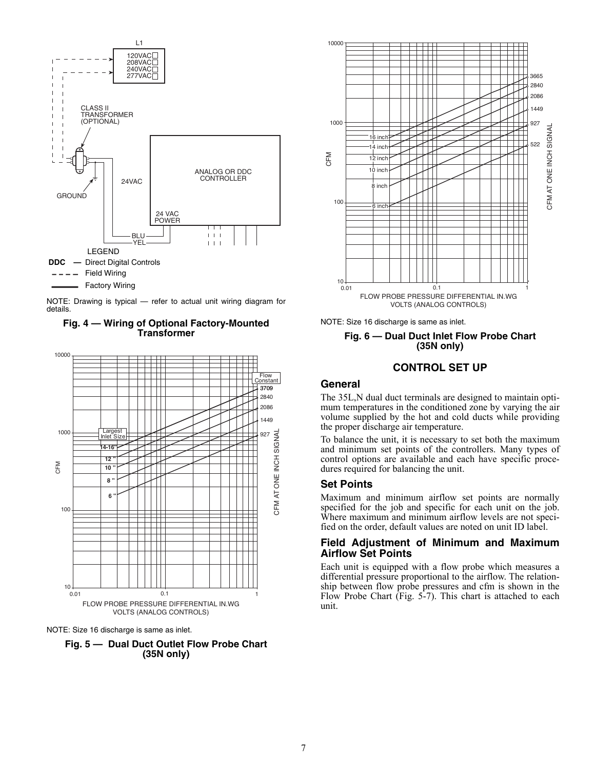

NOTE: Drawing is typical — refer to actual unit wiring diagram for details.

<span id="page-6-4"></span>



<span id="page-6-6"></span>NOTE: Size 16 discharge is same as inlet.





<span id="page-6-5"></span>NOTE: Size 16 discharge is same as inlet.

#### **Fig. 6 — Dual Duct Inlet Flow Probe Chart (35N only)**

## **CONTROL SET UP**

## <span id="page-6-1"></span><span id="page-6-0"></span>**General**

The 35L,N dual duct terminals are designed to maintain optimum temperatures in the conditioned zone by varying the air volume supplied by the hot and cold ducts while providing the proper discharge air temperature.

To balance the unit, it is necessary to set both the maximum and minimum set points of the controllers. Many types of control options are available and each have specific procedures required for balancing the unit.

#### <span id="page-6-2"></span>**Set Points**

Maximum and minimum airflow set points are normally specified for the job and specific for each unit on the job. Where maximum and minimum airflow levels are not specified on the order, default values are noted on unit ID label.

#### <span id="page-6-3"></span>**Field Adjustment of Minimum and Maximum Airflow Set Points**

Each unit is equipped with a flow probe which measures a differential pressure proportional to the airflow. The relationship between flow probe pressures and cfm is shown in the Flow Probe Chart (Fig. [5](#page-6-6)-[7\)](#page-7-4). This chart is attached to each unit.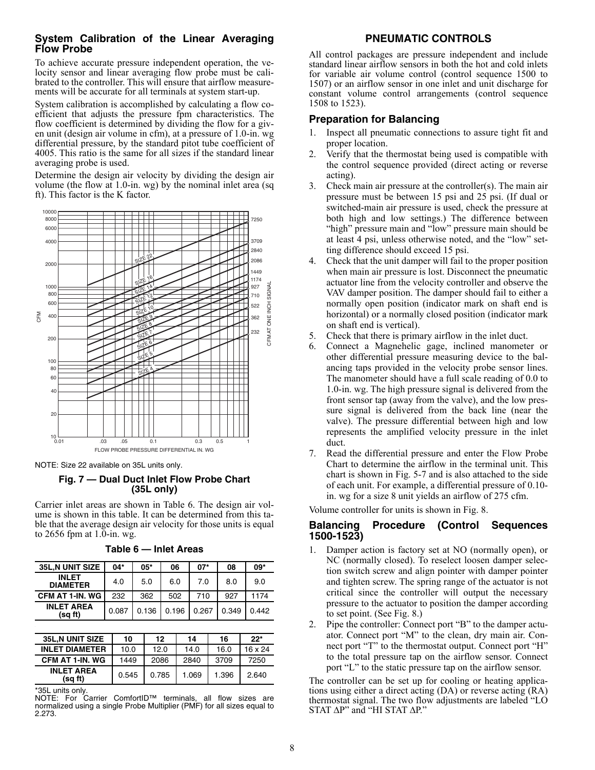## <span id="page-7-0"></span>**System Calibration of the Linear Averaging Flow Probe**

To achieve accurate pressure independent operation, the velocity sensor and linear averaging flow probe must be calibrated to the controller. This will ensure that airflow measurements will be accurate for all terminals at system start-up.

System calibration is accomplished by calculating a flow coefficient that adjusts the pressure fpm characteristics. The flow coefficient is determined by dividing the flow for a given unit (design air volume in cfm), at a pressure of 1.0-in. wg differential pressure, by the standard pitot tube coefficient of 4005. This ratio is the same for all sizes if the standard linear averaging probe is used.

Determine the design air velocity by dividing the design air volume (the flow at 1.0-in. wg) by the nominal inlet area (sq ft). This factor is the K factor.



<span id="page-7-4"></span>NOTE: Size 22 available on 35L units only.

## **Fig. 7 — Dual Duct Inlet Flow Probe Chart (35L only)**

Carrier inlet areas are shown in Table [6](#page-7-5). The design air volume is shown in this table. It can be determined from this table that the average design air velocity for those units is equal to 2656 fpm at 1.0-in. wg.

<span id="page-7-5"></span>

| <b>35L.N UNIT SIZE</b>          | 04*   | 05*   | 06    | $07*$ | 08    | 09*   |
|---------------------------------|-------|-------|-------|-------|-------|-------|
| <b>INLET</b><br><b>DIAMETER</b> | 4.0   | 5.0   | 6.0   | 7.0   | 8.0   | 9.0   |
| CFM AT 1-IN. WG                 | 232   | 362   | 502   | 710   | 927   | 1174  |
| <b>INLET AREA</b><br>(sa ft)    | 0.087 | 0.136 | 0.196 | 0.267 | 0.349 | 0.442 |

|  | Table 6 — Inlet Areas |  |
|--|-----------------------|--|
|--|-----------------------|--|

| <b>35L.N UNIT SIZE</b>                                                           | 10    | 12    | 14    | 16    | $22*$   |
|----------------------------------------------------------------------------------|-------|-------|-------|-------|---------|
| <b>INLET DIAMETER</b>                                                            | 10.0  | 12.0  | 14.0  | 16.0  | 16 x 24 |
| CFM AT 1-IN. WG                                                                  | 1449  | 2086  | 2840  | 3709  | 7250    |
| <b>INLET AREA</b><br>(sq ft)                                                     | 0.545 | 0.785 | 1.069 | 1.396 | 2.640   |
| $*$ $\cap$ $\cap$ $\vdots$ $\ldots$ $\vdots$ $\vdots$ $\vdots$ $\vdots$ $\vdots$ |       |       |       |       |         |

\*35L units only.

NOTE: For Carrier ComfortID™ terminals, all flow sizes are normalized using a single Probe Multiplier (PMF) for all sizes equal to 2.273.

## **PNEUMATIC CONTROLS**

<span id="page-7-1"></span>All control packages are pressure independent and include standard linear airflow sensors in both the hot and cold inlets for variable air volume control (control sequence 1500 to 1507) or an airflow sensor in one inlet and unit discharge for constant volume control arrangements (control sequence 1508 to 1523).

## <span id="page-7-2"></span>**Preparation for Balancing**

- 1. Inspect all pneumatic connections to assure tight fit and proper location.
- 2. Verify that the thermostat being used is compatible with the control sequence provided (direct acting or reverse acting).
- 3. Check main air pressure at the controller(s). The main air pressure must be between 15 psi and 25 psi. (If dual or switched-main air pressure is used, check the pressure at both high and low settings.) The difference between "high" pressure main and "low" pressure main should be at least 4 psi, unless otherwise noted, and the "low" setting difference should exceed 15 psi.
- 4. Check that the unit damper will fail to the proper position when main air pressure is lost. Disconnect the pneumatic actuator line from the velocity controller and observe the VAV damper position. The damper should fail to either a normally open position (indicator mark on shaft end is horizontal) or a normally closed position (indicator mark on shaft end is vertical).
- 5. Check that there is primary airflow in the inlet duct.
- Connect a Magnehelic gage, inclined manometer or other differential pressure measuring device to the balancing taps provided in the velocity probe sensor lines. The manometer should have a full scale reading of 0.0 to 1.0-in. wg. The high pressure signal is delivered from the front sensor tap (away from the valve), and the low pressure signal is delivered from the back line (near the valve). The pressure differential between high and low represents the amplified velocity pressure in the inlet duct.
- 7. Read the differential pressure and enter the Flow Probe Chart to determine the airflow in the terminal unit. This chart is shown in Fig. [5-](#page-6-6)[7](#page-7-4) and is also attached to the side of each unit. For example, a differential pressure of 0.10 in. wg for a size 8 unit yields an airflow of 275 cfm.

Volume controller for units is shown in Fig. [8](#page-8-2).

#### <span id="page-7-3"></span>**Balancing Procedure (Control Sequences 1500-1523)**

- 1. Damper action is factory set at NO (normally open), or NC (normally closed). To reselect loosen damper selection switch screw and align pointer with damper pointer and tighten screw. The spring range of the actuator is not critical since the controller will output the necessary pressure to the actuator to position the damper according to set point. (See Fig. [8](#page-8-2).)
- 2. Pipe the controller: Connect port "B" to the damper actuator. Connect port "M" to the clean, dry main air. Connect port "T" to the thermostat output. Connect port "H" to the total pressure tap on the airflow sensor. Connect port "L" to the static pressure tap on the airflow sensor.

The controller can be set up for cooling or heating applications using either a direct acting (DA) or reverse acting (RA) thermostat signal. The two flow adjustments are labeled "LO  $STAT \Delta P$ " and "HI STAT  $\Delta P$ ."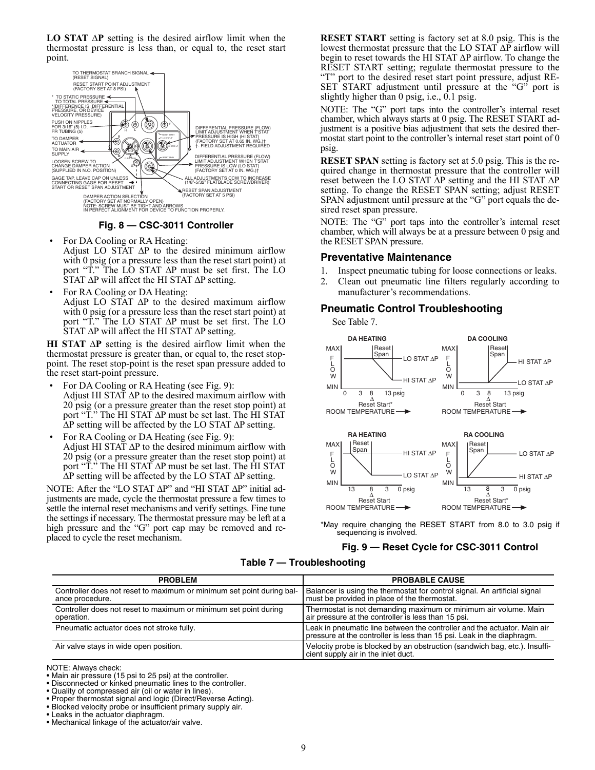**LO STAT**  $\Delta P$  setting is the desired airflow limit when the thermostat pressure is less than, or equal to, the reset start point.



**Fig. 8 — CSC-3011 Controller**

- <span id="page-8-2"></span>For DA Cooling or RA Heating: Adjust LO STAT  $\Delta P$  to the desired minimum airflow with 0 psig (or a pressure less than the reset start point) at port "T." The LO STAT  $\Delta P$  must be set first. The LO  $\overline{S}$ TAT  $\Delta P$  will affect the HI STAT  $\Delta P$  setting.
- For RA Cooling or DA Heating: Adjust LO STAT  $\Delta P$  to the desired maximum airflow with 0 psig (or a pressure less than the reset start point) at port "T." The LO STAT  $\Delta P$  must be set first. The LO  $\overline{S}$ TAT  $\Delta P$  will affect the HI STAT  $\Delta P$  setting.

**HI STAT**  $\Delta P$  setting is the desired airflow limit when the thermostat pressure is greater than, or equal to, the reset stoppoint. The reset stop-point is the reset span pressure added to the reset start-point pressure.

- For DA Cooling or RA Heating (see Fig. [9](#page-8-4)): Adjust HI STAT  $\Delta P$  to the desired maximum airflow with 20 psig (or a pressure greater than the reset stop point) at port " $\tilde{T}$ ." The HI STAT  $\Delta P$  must be set last. The HI STAT  $\Delta P$  setting will be affected by the LO STAT  $\Delta P$  setting.
- For RA Cooling or DA Heating (see Fig. [9](#page-8-4)): Adjust HI STAT  $\Delta P$  to the desired minimum airflow with 20 psig (or a pressure greater than the reset stop point) at port " $\tilde{T}$ ." The HI STAT  $\Delta P$  must be set last. The HI STAT  $\Delta P$  setting will be affected by the LO STAT  $\Delta P$  setting.

NOTE: After the "LO STAT  $\Delta P$ " and "HI STAT  $\Delta P$ " initial adjustments are made, cycle the thermostat pressure a few times to settle the internal reset mechanisms and verify settings. Fine tune the settings if necessary. The thermostat pressure may be left at a high pressure and the "G" port cap may be removed and replaced to cycle the reset mechanism.

**RESET START** setting is factory set at 8.0 psig. This is the lowest thermostat pressure that the LO STAT  $\Delta P$  airflow will begin to reset towards the HI STAT  $\Delta P$  airflow. To change the RESET START setting; regulate thermostat pressure to the "T" port to the desired reset start point pressure, adjust RE-SET START adjustment until pressure at the "G" port is slightly higher than 0 psig, i.e., 0.1 psig.

NOTE: The "G" port taps into the controller's internal reset chamber, which always starts at 0 psig. The RESET START adjustment is a positive bias adjustment that sets the desired thermostat start point to the controller's internal reset start point of 0 psig.

**RESET SPAN** setting is factory set at 5.0 psig. This is the required change in thermostat pressure that the controller will reset between the LO STAT  $\Delta P$  setting and the HI STAT  $\Delta P$ setting. To change the RESET SPAN setting; adjust RESET SPAN adjustment until pressure at the "G" port equals the desired reset span pressure.

NOTE: The "G" port taps into the controller's internal reset chamber, which will always be at a pressure between 0 psig and the RESET SPAN pressure.

## <span id="page-8-0"></span>**Preventative Maintenance**

- 1. Inspect pneumatic tubing for loose connections or leaks.
- 2. Clean out pneumatic line filters regularly according to manufacturer's recommendations.

## <span id="page-8-1"></span>**Pneumatic Control Troubleshooting**

See Table [7](#page-8-3).



<span id="page-8-4"></span>\*May require changing the RESET START from 8.0 to 3.0 psig if sequencing is involved.

#### **Fig. 9 — Reset Cycle for CSC-3011 Control**

#### **Table 7 — Troubleshooting**

<span id="page-8-3"></span>

| <b>PROBLEM</b>                                                                           | <b>PROBABLE CAUSE</b>                                                                                                                              |
|------------------------------------------------------------------------------------------|----------------------------------------------------------------------------------------------------------------------------------------------------|
| Controller does not reset to maximum or minimum set point during bal-<br>ance procedure. | Balancer is using the thermostat for control signal. An artificial signal<br>must be provided in place of the thermostat.                          |
| Controller does not reset to maximum or minimum set point during<br>operation.           | Thermostat is not demanding maximum or minimum air volume. Main<br>air pressure at the controller is less than 15 psi.                             |
| Pneumatic actuator does not stroke fully.                                                | Leak in pneumatic line between the controller and the actuator. Main air<br>pressure at the controller is less than 15 psi. Leak in the diaphragm. |
| Air valve stays in wide open position.                                                   | Velocity probe is blocked by an obstruction (sandwich bag, etc.). Insuffi-<br>cient supply air in the inlet duct.                                  |

NOTE: Always check:

- Disconnected or kinked pneumatic lines to the controller.
- Quality of compressed air (oil or water in lines).
- Proper thermostat signal and logic (Direct/Reverse Acting).
- Blocked velocity probe or insufficient primary supply air.
- Leaks in the actuator diaphragm.
- Mechanical linkage of the actuator/air valve.

<sup>•</sup> Main air pressure (15 psi to 25 psi) at the controller.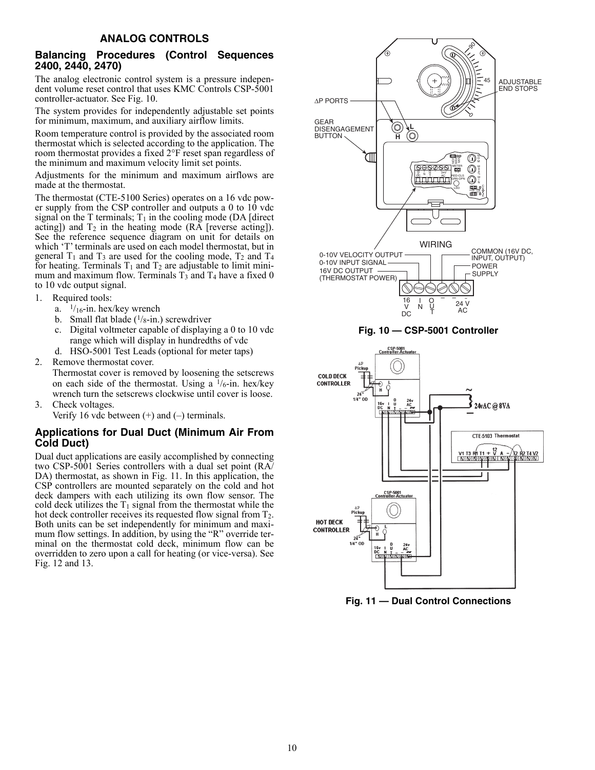#### **ANALOG CONTROLS**

#### <span id="page-9-1"></span><span id="page-9-0"></span>**Balancing Procedures (Control Sequences 2400, 2440, 2470)**

The analog electronic control system is a pressure independent volume reset control that uses KMC Controls CSP-5001 controller-actuator. See Fig. [10.](#page-9-3)

The system provides for independently adjustable set points for minimum, maximum, and auxiliary airflow limits.

Room temperature control is provided by the associated room thermostat which is selected according to the application. The room thermostat provides a fixed 2°F reset span regardless of the minimum and maximum velocity limit set points.

Adjustments for the minimum and maximum airflows are made at the thermostat.

The thermostat (CTE-5100 Series) operates on a 16 vdc power supply from the CSP controller and outputs a 0 to 10 vdc signal on the T terminals;  $T_1$  in the cooling mode (DA [direct] acting]) and  $T_2$  in the heating mode (RA [reverse acting]). See the reference sequence diagram on unit for details on which 'T' terminals are used on each model thermostat, but in general  $T_1$  and  $T_3$  are used for the cooling mode,  $T_2$  and  $T_4$ for heating. Terminals  $T_1$  and  $T_2$  are adjustable to limit minimum and maximum flow. Terminals  $T_3$  and  $T_4$  have a fixed 0 to 10 vdc output signal.

- 1. Required tools:
	- a.  $\frac{1}{16}$ -in. hex/key wrench
	- b. Small flat blade  $(1/g$ -in.) screwdriver
	- c. Digital voltmeter capable of displaying a 0 to 10 vdc range which will display in hundredths of vdc
	- d. HSO-5001 Test Leads (optional for meter taps)
- 2. Remove thermostat cover.
- <span id="page-9-3"></span>Thermostat cover is removed by loosening the setscrews on each side of the thermostat. Using a  $1/6$ -in. hex/key wrench turn the setscrews clockwise until cover is loose.
- 3. Check voltages.
	- Verify 16 vdc between  $(+)$  and  $(-)$  terminals.

## <span id="page-9-2"></span>**Applications for Dual Duct (Minimum Air From Cold Duct)**

Dual duct applications are easily accomplished by connecting two CSP-5001 Series controllers with a dual set point (RA/ DA) thermostat, as shown in Fig. [11.](#page-9-4) In this application, the CSP controllers are mounted separately on the cold and hot deck dampers with each utilizing its own flow sensor. The cold deck utilizes the  $T_1$  signal from the thermostat while the hot deck controller receives its requested flow signal from  $T_2$ . Both units can be set independently for minimum and maximum flow settings. In addition, by using the "R" override terminal on the thermostat cold deck, minimum flow can be overridden to zero upon a call for heating (or vice-versa). See Fig. [12](#page-10-3) and [13.](#page-10-4)



<span id="page-9-4"></span>**Fig. 11 — Dual Control Connections**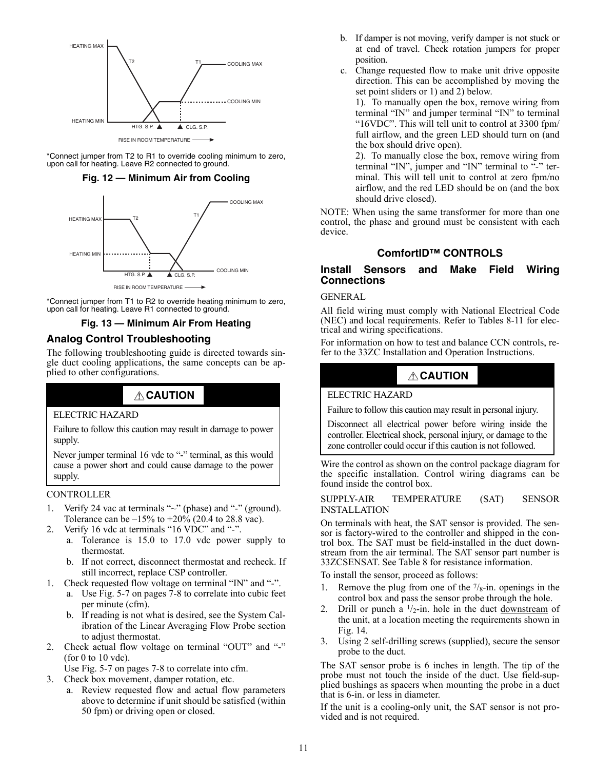

<span id="page-10-3"></span>\*Connect jumper from T2 to R1 to override cooling minimum to zero, upon call for heating. Leave R2 connected to ground.

#### **Fig. 12 — Minimum Air from Cooling**



\*Connect jumper from T1 to R2 to override heating minimum to zero, upon call for heating. Leave R1 connected to ground.

## **Fig. 13 — Minimum Air From Heating**

# <span id="page-10-4"></span><span id="page-10-0"></span>**Analog Control Troubleshooting**

The following troubleshooting guide is directed towards single duct cooling applications, the same concepts can be applied to other configurations.

# **CAUTION**

#### ELECTRIC HAZARD

Failure to follow this caution may result in damage to power supply.

Never jumper terminal 16 vdc to "-" terminal, as this would cause a power short and could cause damage to the power supply.

#### CONTROLLER

- 1. Verify 24 vac at terminals "~" (phase) and "-" (ground). Tolerance can be  $-15%$  to  $+20%$  (20.4 to 28.8 vac).
- 2. Verify 16 vdc at terminals "16 VDC" and "-".
	- a. Tolerance is 15.0 to 17.0 vdc power supply to thermostat.
	- b. If not correct, disconnect thermostat and recheck. If still incorrect, replace CSP controller.
- 1. Check requested flow voltage on terminal "IN" and "-".
	- a. Use Fig. [5](#page-6-6)-[7](#page-7-4) on pages [7-](#page-6-6)[8](#page-7-4) to correlate into cubic feet per minute (cfm).
	- b. If reading is not what is desired, see the System Calibration of the Linear Averaging Flow Probe section to adjust thermostat.
- 2. Check actual flow voltage on terminal "OUT" and "-" (for 0 to 10 vdc).

Use Fig. [5](#page-6-6)-[7](#page-7-4) on pages [7](#page-6-6)[-8](#page-7-4) to correlate into cfm.

- 3. Check box movement, damper rotation, etc.
	- a. Review requested flow and actual flow parameters above to determine if unit should be satisfied (within 50 fpm) or driving open or closed.
- b. If damper is not moving, verify damper is not stuck or at end of travel. Check rotation jumpers for proper position.
- c. Change requested flow to make unit drive opposite direction. This can be accomplished by moving the set point sliders or 1) and 2) below.

1). To manually open the box, remove wiring from terminal "IN" and jumper terminal "IN" to terminal "16VDC". This will tell unit to control at 3300 fpm/ full airflow, and the green LED should turn on (and the box should drive open).

2). To manually close the box, remove wiring from terminal "IN", jumper and "IN" terminal to "-" terminal. This will tell unit to control at zero fpm/no airflow, and the red LED should be on (and the box should drive closed).

NOTE: When using the same transformer for more than one control, the phase and ground must be consistent with each device.

## **ComfortID™ CONTROLS**

## <span id="page-10-2"></span><span id="page-10-1"></span>**Install Sensors and Make Field Wiring Connections**

GENERAL

All field wiring must comply with National Electrical Code (NEC) and local requirements. Refer to Tables [8](#page-11-1)-[11](#page-16-1) for electrical and wiring specifications.

For information on how to test and balance CCN controls, refer to the 33ZC Installation and Operation Instructions.

# **CAUTION**

#### ELECTRIC HAZARD

Failure to follow this caution may result in personal injury.

Disconnect all electrical power before wiring inside the controller. Electrical shock, personal injury, or damage to the zone controller could occur if this caution is not followed.

Wire the control as shown on the control package diagram for the specific installation. Control wiring diagrams can be found inside the control box.

SUPPLY-AIR TEMPERATURE (SAT) SENSOR INSTALLATION

On terminals with heat, the SAT sensor is provided. The sensor is factory-wired to the controller and shipped in the control box. The SAT must be field-installed in the duct downstream from the air terminal. The SAT sensor part number is 33ZCSENSAT. See Table [8](#page-11-1) for resistance information.

To install the sensor, proceed as follows:

- Remove the plug from one of the  $7/8$ -in. openings in the control box and pass the sensor probe through the hole.
- 2. Drill or punch a  $1/2$ -in. hole in the duct downstream of the unit, at a location meeting the requirements shown in Fig. [14](#page-11-0).
- 3. Using 2 self-drilling screws (supplied), secure the sensor probe to the duct.

The SAT sensor probe is 6 inches in length. The tip of the probe must not touch the inside of the duct. Use field-supplied bushings as spacers when mounting the probe in a duct that is 6-in. or less in diameter.

If the unit is a cooling-only unit, the SAT sensor is not provided and is not required.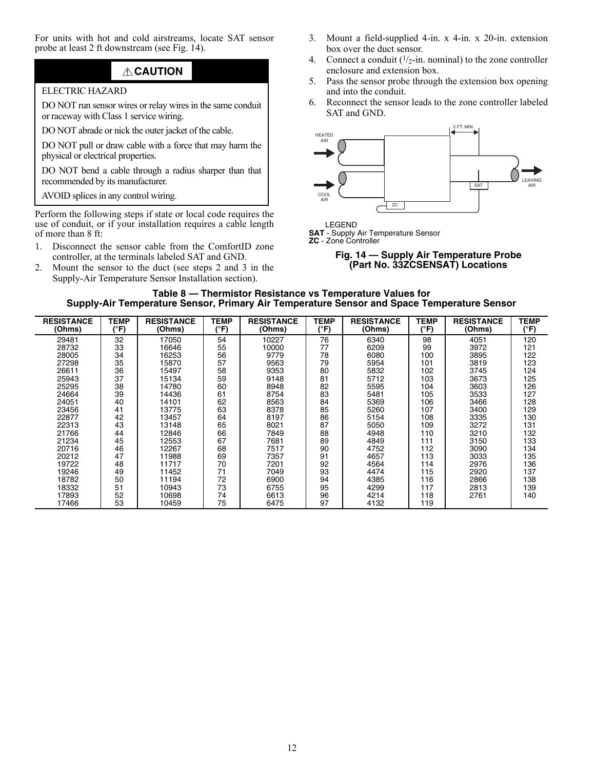For units with hot and cold airstreams, locate SAT sensor probe at least 2 ft downstream (see Fig. [14](#page-11-0)).

# **CAUTION**

## ELECTRIC HAZARD

DO NOT run sensor wires or relay wires in the same conduit or raceway with Class 1 service wiring.

DO NOT abrade or nick the outer jacket of the cable.

DO NOT pull or draw cable with a force that may harm the physical or electrical properties.

DO NOT bend a cable through a radius sharper than that recommended by its manufacturer.

AVOID splices in any control wiring.

Perform the following steps if state or local code requires the use of conduit, or if your installation requires a cable length of more than 8 ft:

- 1. Disconnect the sensor cable from the ComfortID zone controller, at the terminals labeled SAT and GND.
- <span id="page-11-1"></span>2. Mount the sensor to the duct (see steps 2 and 3 in the Supply-Air Temperature Sensor Installation section).
- 3. Mount a field-supplied 4-in. x 4-in. x 20-in. extension box over the duct sensor.
- 4. Connect a conduit  $(1/2$ -in. nominal) to the zone controller enclosure and extension box.
- 5. Pass the sensor probe through the extension box opening and into the conduit.
- 6. Reconnect the sensor leads to the zone controller labeled SAT and GND.



LEGEND

<span id="page-11-0"></span>**SAT** - Supply Air Temperature Sensor **ZC** - Zone Controller



#### **Table 8 — Thermistor Resistance vs Temperature Values for Supply-Air Temperature Sensor, Primary Air Temperature Sensor and Space Temperature Sensor**

| <b>RESISTANCE</b><br>(Ohms) | TEMP<br>(°F) | <b>RESISTANCE</b><br>(Ohms) | TEMP<br>(°F) | <b>RESISTANCE</b><br>(Ohms) | TEMP<br>(°F) | <b>RESISTANCE</b><br>(Ohms) | <b>TEMP</b><br>(°F) | <b>RESISTANCE</b><br>(Ohms) | TEMP<br>(°F) |
|-----------------------------|--------------|-----------------------------|--------------|-----------------------------|--------------|-----------------------------|---------------------|-----------------------------|--------------|
| 29481                       | 32           | 17050                       | 54           | 10227                       | 76           | 6340                        | 98                  | 4051                        | 120          |
| 28732                       | 33           | 16646                       | 55           | 10000                       | 77           | 6209                        | 99                  | 3972                        | 121          |
| 28005                       | 34           | 16253                       | 56           | 9779                        | 78           | 6080                        | 100                 | 3895                        | 122          |
| 27298                       | 35           | 15870                       | 57           | 9563                        | 79           | 5954                        | 101                 | 3819                        | 123          |
| 26611                       | 36           | 15497                       | 58           | 9353                        | 80           | 5832                        | 102                 | 3745                        | 124          |
| 25943                       | 37           | 15134                       | 59           | 9148                        | 81           | 5712                        | 103                 | 3673                        | 125          |
| 25295                       | 38           | 14780                       | 60           | 8948                        | 82           | 5595                        | 104                 | 3603                        | 126          |
| 24664                       | 39           | 14436                       | 61           | 8754                        | 83           | 5481                        | 105                 | 3533                        | 127          |
| 24051                       | 40           | 14101                       | 62           | 8563                        | 84           | 5369                        | 106                 | 3466                        | 128          |
| 23456                       | 41           | 13775                       | 63           | 8378                        | 85           | 5260                        | 107                 | 3400                        | 129          |
| 22877                       | 42           | 13457                       | 64           | 8197                        | 86           | 5154                        | 108                 | 3335                        | 130          |
| 22313                       | 43           | 13148                       | 65           | 8021                        | 87           | 5050                        | 109                 | 3272                        | 131          |
| 21766                       | 44           | 12846                       | 66           | 7849                        | 88           | 4948                        | 110                 | 3210                        | 132          |
| 21234                       | 45           | 12553                       | 67           | 7681                        | 89           | 4849                        | 111                 | 3150                        | 133          |
| 20716                       | 46           | 12267                       | 68           | 7517                        | 90           | 4752                        | 112                 | 3090                        | 134          |
| 20212                       | 47           | 11988                       | 69           | 7357                        | 91           | 4657                        | 113                 | 3033                        | 135          |
| 19722                       | 48           | 11717                       | 70           | 7201                        | 92           | 4564                        | 114                 | 2976                        | 136          |
| 19246                       | 49           | 11452                       | 71           | 7049                        | 93           | 4474                        | 115                 | 2920                        | 137          |
| 18782                       | 50           | 11194                       | 72           | 6900                        | 94           | 4385                        | 116                 | 2866                        | 138          |
| 18332                       | 51           | 10943                       | 73           | 6755                        | 95           | 4299                        | 117                 | 2813                        | 139          |
| 17893                       | 52           | 10698                       | 74           | 6613                        | 96           | 4214                        | 118                 | 2761                        | 140          |
| 17466                       | 53           | 10459                       | 75           | 6475                        | 97           | 4132                        | 119                 |                             |              |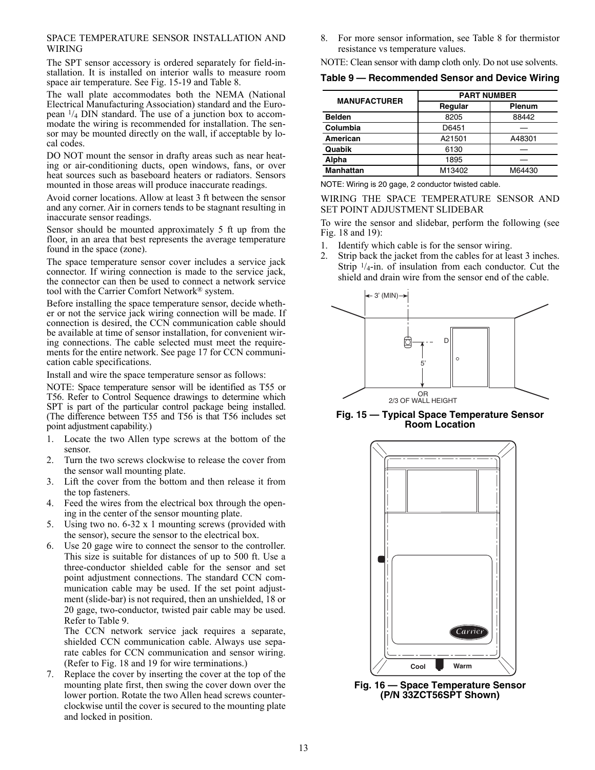#### SPACE TEMPERATURE SENSOR INSTALLATION AND WIRING

The SPT sensor accessory is ordered separately for field-installation. It is installed on interior walls to measure room space air temperature. See Fig. [15-](#page-12-0)[19](#page-13-0) and Table [8.](#page-11-1)

The wall plate accommodates both the NEMA (National Electrical Manufacturing Association) standard and the European 1/4 DIN standard. The use of a junction box to accommodate the wiring is recommended for installation. The sensor may be mounted directly on the wall, if acceptable by local codes.

DO NOT mount the sensor in drafty areas such as near heating or air-conditioning ducts, open windows, fans, or over heat sources such as baseboard heaters or radiators. Sensors mounted in those areas will produce inaccurate readings.

Avoid corner locations. Allow at least 3 ft between the sensor and any corner. Air in corners tends to be stagnant resulting in inaccurate sensor readings.

Sensor should be mounted approximately 5 ft up from the floor, in an area that best represents the average temperature found in the space (zone).

The space temperature sensor cover includes a service jack connector. If wiring connection is made to the service jack, the connector can then be used to connect a network service tool with the Carrier Comfort Network® system.

Before installing the space temperature sensor, decide whether or not the service jack wiring connection will be made. If connection is desired, the CCN communication cable should be available at time of sensor installation, for convenient wiring connections. The cable selected must meet the requirements for the entire network. See page [17](#page-16-0) for CCN communication cable specifications.

Install and wire the space temperature sensor as follows:

NOTE: Space temperature sensor will be identified as T55 or T56. Refer to Control Sequence drawings to determine which SPT is part of the particular control package being installed. (The difference between T55 and T56 is that T56 includes set point adjustment capability.)

- 1. Locate the two Allen type screws at the bottom of the sensor.
- 2. Turn the two screws clockwise to release the cover from the sensor wall mounting plate.
- 3. Lift the cover from the bottom and then release it from the top fasteners.
- 4. Feed the wires from the electrical box through the opening in the center of the sensor mounting plate.
- 5. Using two no. 6-32 x 1 mounting screws (provided with the sensor), secure the sensor to the electrical box.
- 6. Use 20 gage wire to connect the sensor to the controller. This size is suitable for distances of up to 500 ft. Use a three-conductor shielded cable for the sensor and set point adjustment connections. The standard CCN communication cable may be used. If the set point adjustment (slide-bar) is not required, then an unshielded, 18 or 20 gage, two-conductor, twisted pair cable may be used. Refer to Table [9](#page-12-1).

The CCN network service jack requires a separate, shielded CCN communication cable. Always use separate cables for CCN communication and sensor wiring. (Refer to Fig. [18](#page-13-1) and [19](#page-13-0) for wire terminations.)

7. Replace the cover by inserting the cover at the top of the mounting plate first, then swing the cover down over the lower portion. Rotate the two Allen head screws counterclockwise until the cover is secured to the mounting plate and locked in position.

8. For more sensor information, see Table [8](#page-11-1) for thermistor resistance vs temperature values.

NOTE: Clean sensor with damp cloth only. Do not use solvents.

#### <span id="page-12-1"></span>**Table 9 — Recommended Sensor and Device Wiring**

| <b>MANUFACTURER</b> | <b>PART NUMBER</b> |               |  |  |
|---------------------|--------------------|---------------|--|--|
|                     | Regular            | <b>Plenum</b> |  |  |
| <b>Belden</b>       | 8205               | 88442         |  |  |
| Columbia            | D6451              |               |  |  |
| American            | A21501             | A48301        |  |  |
| Quabik              | 6130               |               |  |  |
| Alpha               | 1895               |               |  |  |
| <b>Manhattan</b>    | M13402             | M64430        |  |  |

NOTE: Wiring is 20 gage, 2 conductor twisted cable.

WIRING THE SPACE TEMPERATURE SENSOR AND SET POINT ADJUSTMENT SLIDEBAR

To wire the sensor and slidebar, perform the following (see Fig. [18](#page-13-1) and [19\)](#page-13-0):

- 1. Identify which cable is for the sensor wiring.
- 2. Strip back the jacket from the cables for at least 3 inches. Strip  $\frac{1}{4}$ -in. of insulation from each conductor. Cut the shield and drain wire from the sensor end of the cable.



<span id="page-12-0"></span>**Fig. 15 — Typical Space Temperature Sensor Room Location**



**Fig. 16 — Space Temperature Sensor (P/N 33ZCT56SPT Shown)**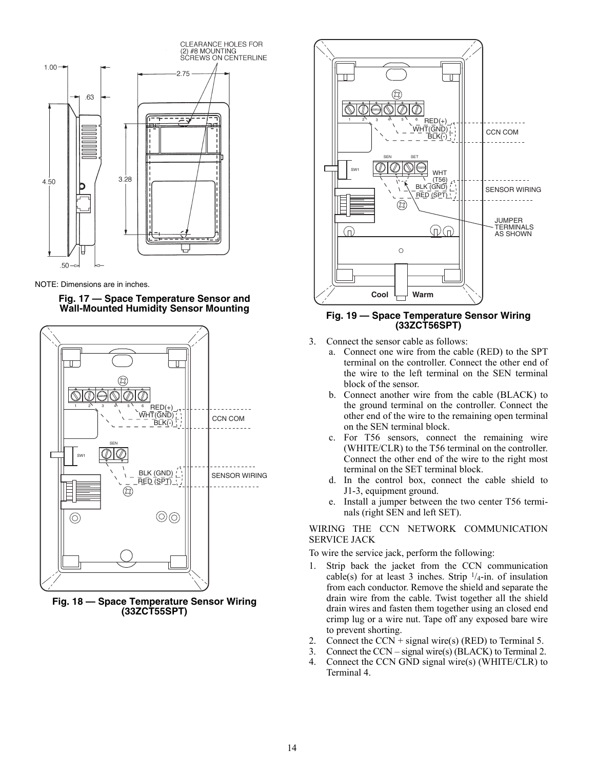

NOTE: Dimensions are in inches.

#### **Fig. 17 — Space Temperature Sensor and Wall-Mounted Humidity Sensor Mounting**



<span id="page-13-1"></span>**Fig. 18 — Space Temperature Sensor Wiring (33ZCT55SPT)**



#### <span id="page-13-0"></span>**Fig. 19 — Space Temperature Sensor Wiring (33ZCT56SPT)**

- 3. Connect the sensor cable as follows:
	- a. Connect one wire from the cable (RED) to the SPT terminal on the controller. Connect the other end of the wire to the left terminal on the SEN terminal block of the sensor.
	- b. Connect another wire from the cable (BLACK) to the ground terminal on the controller. Connect the other end of the wire to the remaining open terminal on the SEN terminal block.
	- c. For T56 sensors, connect the remaining wire (WHITE/CLR) to the T56 terminal on the controller. Connect the other end of the wire to the right most terminal on the SET terminal block.
	- d. In the control box, connect the cable shield to J1-3, equipment ground.
	- e. Install a jumper between the two center T56 terminals (right SEN and left SET).

WIRING THE CCN NETWORK COMMUNICATION SERVICE JACK

To wire the service jack, perform the following:

- 1. Strip back the jacket from the CCN communication cable(s) for at least 3 inches. Strip  $\frac{1}{4}$ -in. of insulation from each conductor. Remove the shield and separate the drain wire from the cable. Twist together all the shield drain wires and fasten them together using an closed end crimp lug or a wire nut. Tape off any exposed bare wire to prevent shorting.
- 2. Connect the CCN + signal wire(s) (RED) to Terminal 5.
- 3. Connect the CCN signal wire(s) (BLACK) to Terminal 2.
- 4. Connect the CCN GND signal wire(s) (WHITE/CLR) to Terminal 4.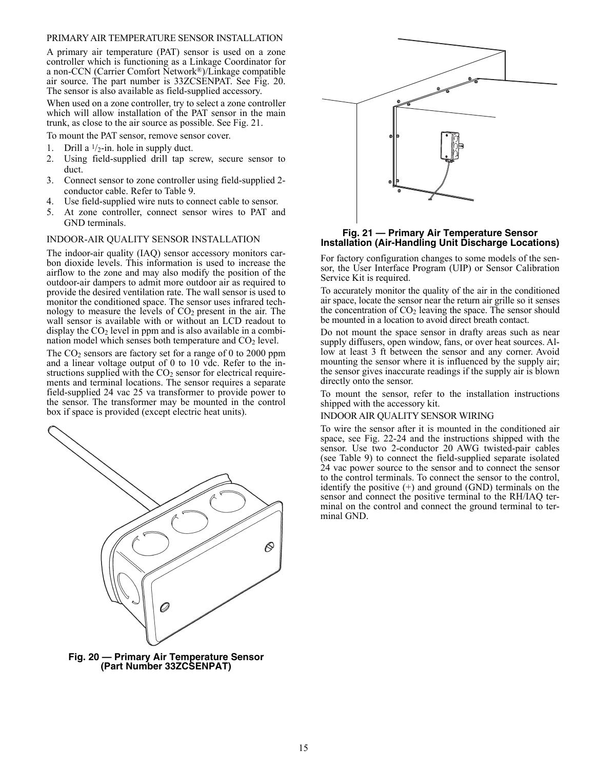#### PRIMARY AIR TEMPERATURE SENSOR INSTALLATION

A primary air temperature (PAT) sensor is used on a zone controller which is functioning as a Linkage Coordinator for a non-CCN (Carrier Comfort Network®)/Linkage compatible air source. The part number is 33ZCSENPAT. See Fig. [20](#page-14-1). The sensor is also available as field-supplied accessory.

When used on a zone controller, try to select a zone controller which will allow installation of the PAT sensor in the main trunk, as close to the air source as possible. See Fig. [21](#page-14-0).

To mount the PAT sensor, remove sensor cover.

- 1. Drill a  $\frac{1}{2}$ -in. hole in supply duct.
- 2. Using field-supplied drill tap screw, secure sensor to duct.
- 3. Connect sensor to zone controller using field-supplied 2 conductor cable. Refer to Table [9.](#page-12-1)
- 4. Use field-supplied wire nuts to connect cable to sensor.
- 5. At zone controller, connect sensor wires to PAT and GND terminals.

## INDOOR-AIR QUALITY SENSOR INSTALLATION

The indoor-air quality (IAQ) sensor accessory monitors carbon dioxide levels. This information is used to increase the airflow to the zone and may also modify the position of the outdoor-air dampers to admit more outdoor air as required to provide the desired ventilation rate. The wall sensor is used to monitor the conditioned space. The sensor uses infrared technology to measure the levels of CO2 present in the air. The wall sensor is available with or without an LCD readout to display the  $CO<sub>2</sub>$  level in ppm and is also available in a combination model which senses both temperature and  $CO<sub>2</sub>$  level.

The CO<sub>2</sub> sensors are factory set for a range of 0 to 2000 ppm and a linear voltage output of 0 to 10 vdc. Refer to the instructions supplied with the  $CO<sub>2</sub>$  sensor for electrical requirements and terminal locations. The sensor requires a separate field-supplied 24 vac 25 va transformer to provide power to the sensor. The transformer may be mounted in the control box if space is provided (except electric heat units).



<span id="page-14-1"></span>



#### <span id="page-14-0"></span>**Fig. 21 — Primary Air Temperature Sensor Installation (Air-Handling Unit Discharge Locations)**

For factory configuration changes to some models of the sensor, the User Interface Program (UIP) or Sensor Calibration Service Kit is required.

To accurately monitor the quality of the air in the conditioned air space, locate the sensor near the return air grille so it senses the concentration of  $CO<sub>2</sub>$  leaving the space. The sensor should be mounted in a location to avoid direct breath contact.

Do not mount the space sensor in drafty areas such as near supply diffusers, open window, fans, or over heat sources. Allow at least 3 ft between the sensor and any corner. Avoid mounting the sensor where it is influenced by the supply air; the sensor gives inaccurate readings if the supply air is blown directly onto the sensor.

To mount the sensor, refer to the installation instructions shipped with the accessory kit.

#### INDOOR AIR QUALITY SENSOR WIRING

To wire the sensor after it is mounted in the conditioned air space, see Fig. [22](#page-15-0)[-24](#page-15-1) and the instructions shipped with the sensor. Use two 2-conductor 20 AWG twisted-pair cables (see Table [9](#page-12-1)) to connect the field-supplied separate isolated 24 vac power source to the sensor and to connect the sensor to the control terminals. To connect the sensor to the control, identify the positive  $(+)$  and ground  $(GND)$  terminals on the sensor and connect the positive terminal to the RH/IAQ terminal on the control and connect the ground terminal to terminal GND.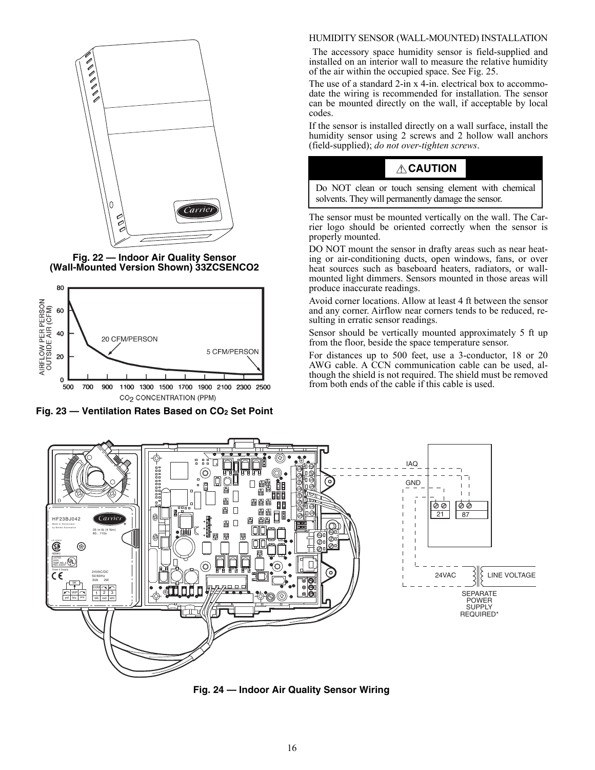

**Fig. 22 — Indoor Air Quality Sensor (Wall-Mounted Version Shown) 33ZCSENCO2**

<span id="page-15-0"></span>

Fig. 23 - Ventilation Rates Based on CO<sub>2</sub> Set Point

#### HUMIDITY SENSOR (WALL-MOUNTED) INSTALLATION

 The accessory space humidity sensor is field-supplied and installed on an interior wall to measure the relative humidity of the air within the occupied space. See Fig. [25](#page-16-2).

The use of a standard 2-in x 4-in. electrical box to accommodate the wiring is recommended for installation. The sensor can be mounted directly on the wall, if acceptable by local codes.

If the sensor is installed directly on a wall surface, install the humidity sensor using 2 screws and 2 hollow wall anchors (field-supplied); *do not over-tighten screws*.

# **CAUTION**

Do NOT clean or touch sensing element with chemical solvents. They will permanently damage the sensor.

The sensor must be mounted vertically on the wall. The Carrier logo should be oriented correctly when the sensor is properly mounted.

DO NOT mount the sensor in drafty areas such as near heating or air-conditioning ducts, open windows, fans, or over heat sources such as baseboard heaters, radiators, or wallmounted light dimmers. Sensors mounted in those areas will produce inaccurate readings.

Avoid corner locations. Allow at least 4 ft between the sensor and any corner. Airflow near corners tends to be reduced, resulting in erratic sensor readings.

Sensor should be vertically mounted approximately 5 ft up from the floor, beside the space temperature sensor.

For distances up to 500 feet, use a 3-conductor, 18 or 20 AWG cable. A CCN communication cable can be used, although the shield is not required. The shield must be removed from both ends of the cable if this cable is used.



<span id="page-15-1"></span>**Fig. 24 — Indoor Air Quality Sensor Wiring**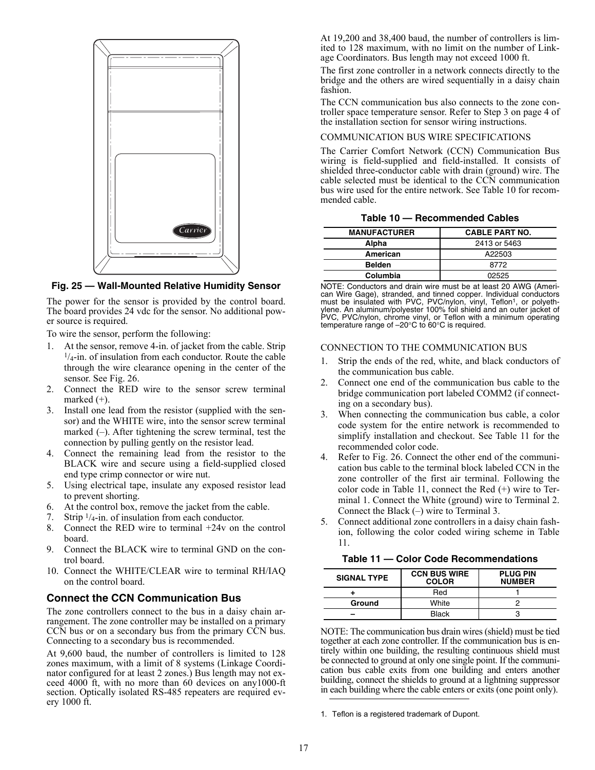

<span id="page-16-2"></span>**Fig. 25 — Wall-Mounted Relative Humidity Sensor**

The power for the sensor is provided by the control board. The board provides 24 vdc for the sensor. No additional power source is required.

To wire the sensor, perform the following:

- 1. At the sensor, remove 4-in. of jacket from the cable. Strip  $\frac{1}{4}$ -in. of insulation from each conductor. Route the cable through the wire clearance opening in the center of the sensor. See Fig. [26](#page-17-1).
- 2. Connect the RED wire to the sensor screw terminal marked  $(+)$ .
- 3. Install one lead from the resistor (supplied with the sensor) and the WHITE wire, into the sensor screw terminal marked (–). After tightening the screw terminal, test the connection by pulling gently on the resistor lead.
- 4. Connect the remaining lead from the resistor to the BLACK wire and secure using a field-supplied closed end type crimp connector or wire nut.
- 5. Using electrical tape, insulate any exposed resistor lead to prevent shorting.
- 6. At the control box, remove the jacket from the cable.
- 7. Strip  $\frac{1}{4}$ -in. of insulation from each conductor.
- 8. Connect the RED wire to terminal +24v on the control board.
- 9. Connect the BLACK wire to terminal GND on the control board.
- 10. Connect the WHITE/CLEAR wire to terminal RH/IAQ on the control board.

## <span id="page-16-0"></span>**Connect the CCN Communication Bus**

The zone controllers connect to the bus in a daisy chain arrangement. The zone controller may be installed on a primary CCN bus or on a secondary bus from the primary CCN bus. Connecting to a secondary bus is recommended.

At 9,600 baud, the number of controllers is limited to 128 zones maximum, with a limit of 8 systems (Linkage Coordinator configured for at least 2 zones.) Bus length may not exceed 4000 ft, with no more than 60 devices on any1000-ft section. Optically isolated RS-485 repeaters are required every 1000 ft.

At 19,200 and 38,400 baud, the number of controllers is limited to 128 maximum, with no limit on the number of Linkage Coordinators. Bus length may not exceed 1000 ft.

The first zone controller in a network connects directly to the bridge and the others are wired sequentially in a daisy chain fashion.

The CCN communication bus also connects to the zone controller space temperature sensor. Refer to Step 3 on [page 4](#page-3-4) of the installation section for sensor wiring instructions.

#### COMMUNICATION BUS WIRE SPECIFICATIONS

The Carrier Comfort Network (CCN) Communication Bus wiring is field-supplied and field-installed. It consists of shielded three-conductor cable with drain (ground) wire. The cable selected must be identical to the CCN communication bus wire used for the entire network. See Table [10](#page-16-3) for recommended cable.

|  | Table 10 - Recommended Cables |  |
|--|-------------------------------|--|
|  |                               |  |

<span id="page-16-3"></span>

| <b>MANUFACTURER</b> | <b>CABLE PART NO.</b> |
|---------------------|-----------------------|
| Alpha               | 2413 or 5463          |
| American            | A22503                |
| <b>Belden</b>       | 8772                  |
| Columbia            | 02525                 |

NOTE: Conductors and drain wire must be at least 20 AWG (American Wire Gage), stranded, and tinned copper. Individual conductors must be insulated with PVC, PVC/nylon, vinyl, Teflon<sup>1</sup>, or polyeth-<br>ylene. An aluminum/polyester 100% foil shield and an outer jacket of PVC, PVC/nylon, chrome vinyl, or Teflon with a minimum operating temperature range of  $-20^{\circ}$ C to  $60^{\circ}$ C is required.

#### CONNECTION TO THE COMMUNICATION BUS

- 1. Strip the ends of the red, white, and black conductors of the communication bus cable.
- 2. Connect one end of the communication bus cable to the bridge communication port labeled COMM2 (if connecting on a secondary bus).
- 3. When connecting the communication bus cable, a color code system for the entire network is recommended to simplify installation and checkout. See Table [11](#page-16-1) for the recommended color code.
- 4. Refer to Fig. [26](#page-17-1). Connect the other end of the communication bus cable to the terminal block labeled CCN in the zone controller of the first air terminal. Following the color code in Table 11, connect the Red (+) wire to Terminal 1. Connect the White (ground) wire to Terminal 2. Connect the Black (–) wire to Terminal 3.
- 5. Connect additional zone controllers in a daisy chain fashion, following the color coded wiring scheme in Table [11.](#page-16-1)

**Table 11 — Color Code Recommendations**

<span id="page-16-1"></span>

| <b>SIGNAL TYPE</b> | <b>CCN BUS WIRE</b><br><b>COLOR</b> | <b>PLUG PIN</b><br><b>NUMBER</b> |
|--------------------|-------------------------------------|----------------------------------|
|                    | Red                                 |                                  |
| Ground             | White                               |                                  |
|                    | Black                               |                                  |

NOTE: The communication bus drain wires (shield) must be tied together at each zone controller. If the communication bus is entirely within one building, the resulting continuous shield must be connected to ground at only one single point. If the communication bus cable exits from one building and enters another building, connect the shields to ground at a lightning suppressor in each building where the cable enters or exits (one point only).

1. Teflon is a registered trademark of Dupont.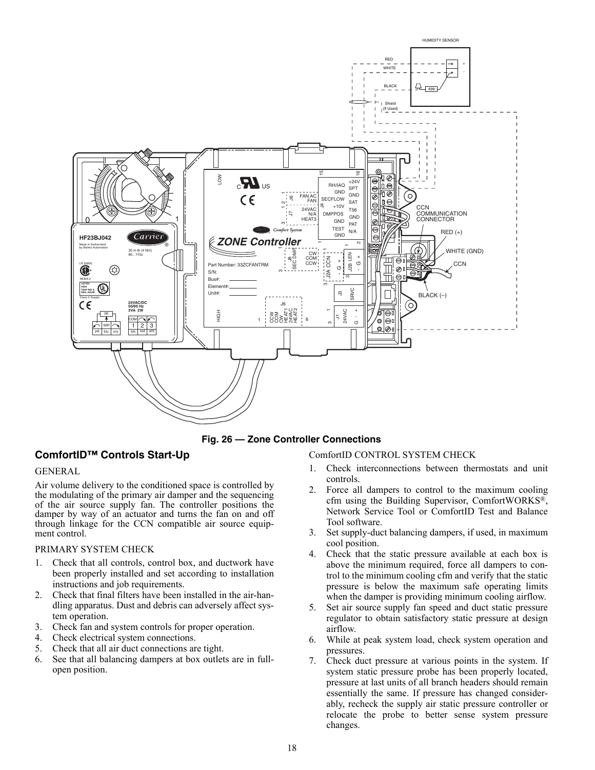

**Fig. 26 — Zone Controller Connections**

# <span id="page-17-1"></span><span id="page-17-0"></span>**ComfortID™ Controls Start-Up**

#### GENERAL

Air volume delivery to the conditioned space is controlled by the modulating of the primary air damper and the sequencing of the air source supply fan. The controller positions the damper by way of an actuator and turns the fan on and off through linkage for the CCN compatible air source equipment control.

## PRIMARY SYSTEM CHECK

- 1. Check that all controls, control box, and ductwork have been properly installed and set according to installation instructions and job requirements.
- 2. Check that final filters have been installed in the air-handling apparatus. Dust and debris can adversely affect system operation.
- 3. Check fan and system controls for proper operation.
- 4. Check electrical system connections.
- 5. Check that all air duct connections are tight.
- 6. See that all balancing dampers at box outlets are in fullopen position.

## ComfortID CONTROL SYSTEM CHECK

- 1. Check interconnections between thermostats and unit controls.
- 2. Force all dampers to control to the maximum cooling cfm using the Building Supervisor, ComfortWORKS®, Network Service Tool or ComfortID Test and Balance Tool software.
- 3. Set supply-duct balancing dampers, if used, in maximum cool position.
- 4. Check that the static pressure available at each box is above the minimum required, force all dampers to control to the minimum cooling cfm and verify that the static pressure is below the maximum safe operating limits when the damper is providing minimum cooling airflow.
- 5. Set air source supply fan speed and duct static pressure regulator to obtain satisfactory static pressure at design airflow.
- 6. While at peak system load, check system operation and pressures.
- 7. Check duct pressure at various points in the system. If system static pressure probe has been properly located, pressure at last units of all branch headers should remain essentially the same. If pressure has changed considerably, recheck the supply air static pressure controller or relocate the probe to better sense system pressure changes.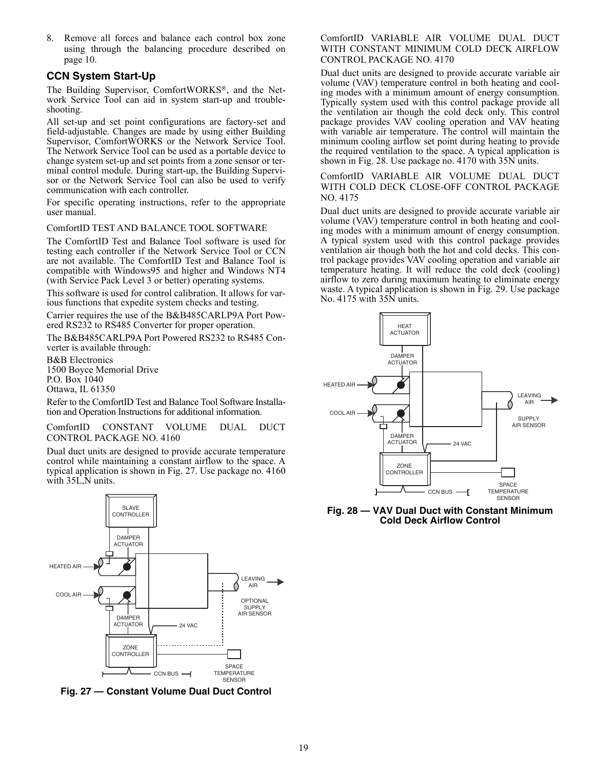8. Remove all forces and balance each control box zone using through the balancing procedure described on page [10](#page-9-1).

## <span id="page-18-0"></span>**CCN System Start-Up**

The Building Supervisor, ComfortWORKS®, and the Network Service Tool can aid in system start-up and troubleshooting.

All set-up and set point configurations are factory-set and field-adjustable. Changes are made by using either Building Supervisor, ComfortWORKS or the Network Service Tool. The Network Service Tool can be used as a portable device to change system set-up and set points from a zone sensor or terminal control module. During start-up, the Building Supervisor or the Network Service Tool can also be used to verify communication with each controller.

For specific operating instructions, refer to the appropriate user manual.

#### ComfortID TEST AND BALANCE TOOL SOFTWARE

The ComfortID Test and Balance Tool software is used for testing each controller if the Network Service Tool or CCN are not available. The ComfortID Test and Balance Tool is compatible with Windows95 and higher and Windows NT4 (with Service Pack Level 3 or better) operating systems.

This software is used for control calibration. It allows for various functions that expedite system checks and testing.

Carrier requires the use of the B&B485CARLP9A Port Powered RS232 to RS485 Converter for proper operation.

The B&B485CARLP9A Port Powered RS232 to RS485 Converter is available through:

B&B Electronics 1500 Boyce Memorial Drive P.O. Box 1040 Ottawa, IL 61350

Refer to the ComfortID Test and Balance Tool Software Installation and Operation Instructions for additional information.

ComfortID CONSTANT VOLUME DUAL DUCT CONTROL PACKAGE NO. 4160

Dual duct units are designed to provide accurate temperature control while maintaining a constant airflow to the space. A typical application is shown in Fig. [27.](#page-18-1) Use package no. 4160 with 35L,N units.



<span id="page-18-1"></span>**Fig. 27 — Constant Volume Dual Duct Control**

#### ComfortID VARIABLE AIR VOLUME DUAL DUCT WITH CONSTANT MINIMUM COLD DECK AIRFLOW CONTROL PACKAGE NO. 4170

Dual duct units are designed to provide accurate variable air volume (VAV) temperature control in both heating and cooling modes with a minimum amount of energy consumption. Typically system used with this control package provide all the ventilation air though the cold deck only. This control package provides VAV cooling operation and VAV heating with variable air temperature. The control will maintain the minimum cooling airflow set point during heating to provide the required ventilation to the space. A typical application is shown in Fig. [28](#page-18-2). Use package no. 4170 with 35N units.

ComfortID VARIABLE AIR VOLUME DUAL DUCT WITH COLD DECK CLOSE-OFF CONTROL PACKAGE NO. 4175

Dual duct units are designed to provide accurate variable air volume (VAV) temperature control in both heating and cooling modes with a minimum amount of energy consumption. A typical system used with this control package provides ventilation air though both the hot and cold decks. This control package provides VAV cooling operation and variable air temperature heating. It will reduce the cold deck (cooling) airflow to zero during maximum heating to eliminate energy waste. A typical application is shown in Fig. [29](#page-19-0). Use package No. 4175 with 35N units.



<span id="page-18-2"></span>**Fig. 28 — VAV Dual Duct with Constant Minimum Cold Deck Airflow Control**